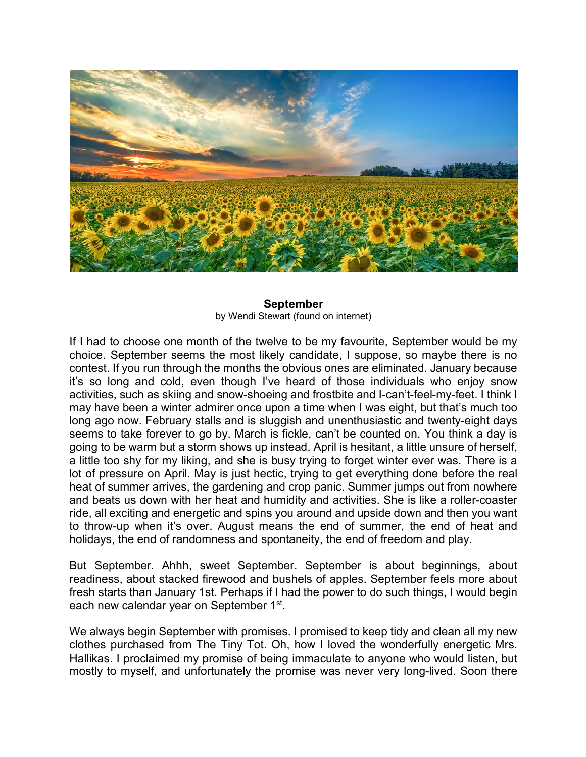

## **September** by Wendi Stewart (found on internet)

If I had to choose one month of the twelve to be my favourite, September would be my choice. September seems the most likely candidate, I suppose, so maybe there is no contest. If you run through the months the obvious ones are eliminated. January because it's so long and cold, even though I've heard of those individuals who enjoy snow activities, such as skiing and snow-shoeing and frostbite and I-can't-feel-my-feet. I think I may have been a winter admirer once upon a time when I was eight, but that's much too long ago now. February stalls and is sluggish and unenthusiastic and twenty-eight days seems to take forever to go by. March is fickle, can't be counted on. You think a day is going to be warm but a storm shows up instead. April is hesitant, a little unsure of herself, a little too shy for my liking, and she is busy trying to forget winter ever was. There is a lot of pressure on April. May is just hectic, trying to get everything done before the real heat of summer arrives, the gardening and crop panic. Summer jumps out from nowhere and beats us down with her heat and humidity and activities. She is like a roller-coaster ride, all exciting and energetic and spins you around and upside down and then you want to throw-up when it's over. August means the end of summer, the end of heat and holidays, the end of randomness and spontaneity, the end of freedom and play.

But September. Ahhh, sweet September. September is about beginnings, about readiness, about stacked firewood and bushels of apples. September feels more about fresh starts than January 1st. Perhaps if I had the power to do such things, I would begin each new calendar year on September 1st.

We always begin September with promises. I promised to keep tidy and clean all my new clothes purchased from The Tiny Tot. Oh, how I loved the wonderfully energetic Mrs. Hallikas. I proclaimed my promise of being immaculate to anyone who would listen, but mostly to myself, and unfortunately the promise was never very long-lived. Soon there